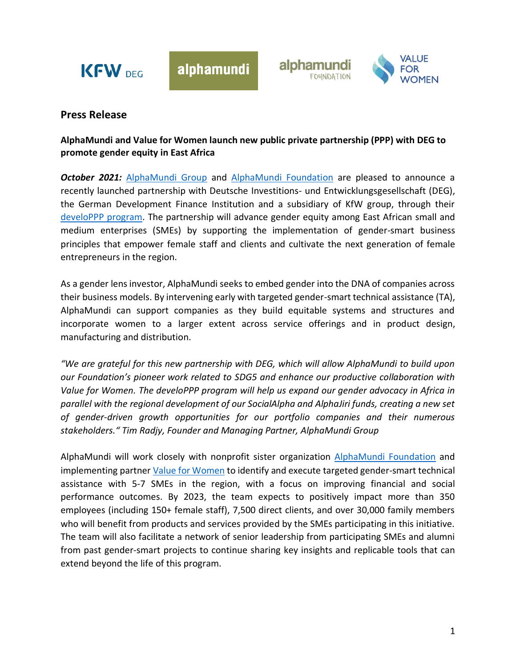

alphamundi





## **Press Release**

## **AlphaMundi and Value for Women launch new public private partnership (PPP) with DEG to promote gender equity in East Africa**

*October 2021: [AlphaMundi Group](https://www.alphamundi.ch/) and [AlphaMundi Foundation](https://www.alphamundifoundation.org/) are pleased to announce a* recently launched partnership with Deutsche Investitions- und Entwicklungsgesellschaft (DEG), the German Development Finance Institution and a subsidiary of KfW group, through their [develoPPP program.](https://www.deginvest.de/International-financing/DEG/Unsere-L%C3%B6sungen/develoPPP.de/) The partnership will advance gender equity among East African small and medium enterprises (SMEs) by supporting the implementation of gender-smart business principles that empower female staff and clients and cultivate the next generation of female entrepreneurs in the region.

As a gender lens investor, AlphaMundi seeks to embed gender into the DNA of companies across their business models. By intervening early with targeted gender-smart technical assistance (TA), AlphaMundi can support companies as they build equitable systems and structures and incorporate women to a larger extent across service offerings and in product design, manufacturing and distribution.

*"We are grateful for this new partnership with DEG, which will allow AlphaMundi to build upon our Foundation's pioneer work related to SDG5 and enhance our productive collaboration with Value for Women. The develoPPP program will help us expand our gender advocacy in Africa in parallel with the regional development of our SocialAlpha and AlphaJiri funds, creating a new set of gender-driven growth opportunities for our portfolio companies and their numerous stakeholders." Tim Radjy, Founder and Managing Partner, AlphaMundi Group*

AlphaMundi will work closely with nonprofit sister organization [AlphaMundi Foundation](https://www.alphamundifoundation.org/) and implementing partner [Value for Women](https://v4w.org/) to identify and execute targeted gender-smart technical assistance with 5-7 SMEs in the region, with a focus on improving financial and social performance outcomes. By 2023, the team expects to positively impact more than 350 employees (including 150+ female staff), 7,500 direct clients, and over 30,000 family members who will benefit from products and services provided by the SMEs participating in this initiative. The team will also facilitate a network of senior leadership from participating SMEs and alumni from past gender-smart projects to continue sharing key insights and replicable tools that can extend beyond the life of this program.